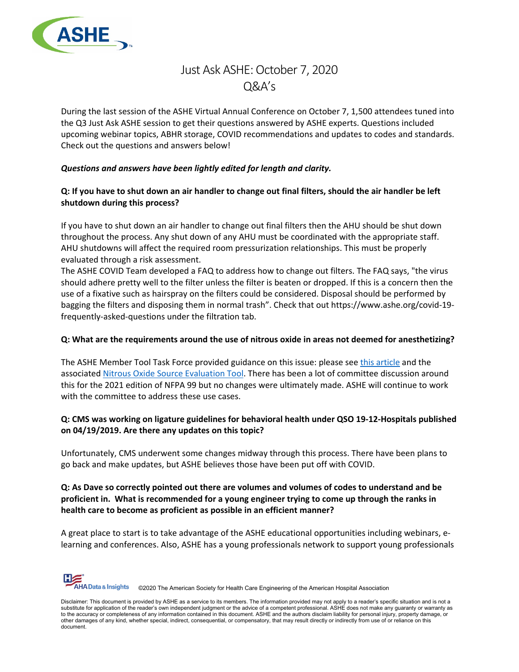

# Just Ask ASHE: October 7, 2020  $O&A's$

During the last session of the ASHE Virtual Annual Conference on October 7, 1,500 attendees tuned into the Q3 Just Ask ASHE session to get their questions answered by ASHE experts. Questions included upcoming webinar topics, ABHR storage, COVID recommendations and updates to codes and standards. Check out the questions and answers below!

## *Questions and answers have been lightly edited for length and clarity.*

# **Q: If you have to shut down an air handler to change out final filters, should the air handler be left shutdown during this process?**

If you have to shut down an air handler to change out final filters then the AHU should be shut down throughout the process. Any shut down of any AHU must be coordinated with the appropriate staff. AHU shutdowns will affect the required room pressurization relationships. This must be properly evaluated through a risk assessment.

The ASHE COVID Team developed a FAQ to address how to change out filters. The FAQ says, "the virus should adhere pretty well to the filter unless the filter is beaten or dropped. If this is a concern then the use of a fixative such as hairspray on the filters could be considered. Disposal should be performed by bagging the filters and disposing them in normal trash". Check that out https://www.ashe.org/covid-19 frequently-asked-questions under the filtration tab.

## **Q: What are the requirements around the use of nitrous oxide in areas not deemed for anesthetizing?**

The ASHE Member Tool Task Force provided guidance on this issue: please see [this article](https://www.hfmmagazine.com/articles/3880-managing-nitrous-oxide-use-outside-the-operating-room) and the associated [Nitrous Oxide Source Evaluation Tool.](https://www.ashe.org/nitrousoxide) There has been a lot of committee discussion around this for the 2021 edition of NFPA 99 but no changes were ultimately made. ASHE will continue to work with the committee to address these use cases.

# **Q: CMS was working on ligature guidelines for behavioral health under QSO 19-12-Hospitals published on 04/19/2019. Are there any updates on this topic?**

Unfortunately, CMS underwent some changes midway through this process. There have been plans to go back and make updates, but ASHE believes those have been put off with COVID.

# **Q: As Dave so correctly pointed out there are volumes and volumes of codes to understand and be proficient in. What is recommended for a young engineer trying to come up through the ranks in health care to become as proficient as possible in an efficient manner?**

A great place to start is to take advantage of the ASHE educational opportunities including webinars, elearning and conferences. Also, ASHE has a young professionals network to support young professionals

HA Data & Insights ©2020 The American Society for Health Care Engineering of the American Hospital Association

Disclaimer: This document is provided by ASHE as a service to its members. The information provided may not apply to a reader's specific situation and is not a<br>substitute for application of the reader's own independent jud to the accuracy or completeness of any information contained in this document. ASHE and the authors disclaim liability for personal injury, property damage, or other damages of any kind, whether special, indirect, consequential, or compensatory, that may result directly or indirectly from use of or reliance on this document.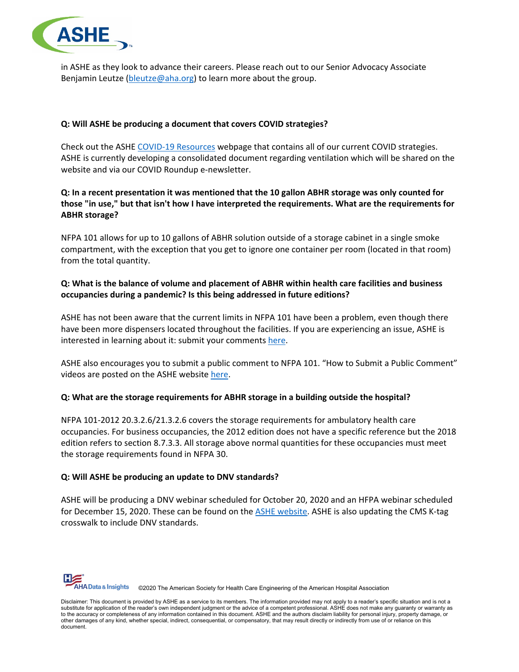

in ASHE as they look to advance their careers. Please reach out to our Senior Advocacy Associate Benjamin Leutze [\(bleutze@aha.org\)](mailto:bleutze@aha.org) to learn more about the group.

## **Q: Will ASHE be producing a document that covers COVID strategies?**

Check out the ASH[E COVID-19 Resources](https://www.ashe.org/COVID19resources) webpage that contains all of our current COVID strategies. ASHE is currently developing a consolidated document regarding ventilation which will be shared on the website and via our COVID Roundup e-newsletter.

# **Q: In a recent presentation it was mentioned that the 10 gallon ABHR storage was only counted for those "in use," but that isn't how I have interpreted the requirements. What are the requirements for ABHR storage?**

NFPA 101 allows for up to 10 gallons of ABHR solution outside of a storage cabinet in a single smoke compartment, with the exception that you get to ignore one container per room (located in that room) from the total quantity.

# **Q: What is the balance of volume and placement of ABHR within health care facilities and business occupancies during a pandemic? Is this being addressed in future editions?**

ASHE has not been aware that the current limits in NFPA 101 have been a problem, even though there have been more dispensers located throughout the facilities. If you are experiencing an issue, ASHE is interested in learning about it: submit your comment[s here.](https://app.smartsheet.com/b/form/1ae50b037fac4bc1a19d1107132b03bb)

ASHE also encourages you to submit a public comment to NFPA 101. "How to Submit a Public Comment" videos are posted on the ASHE website [here.](https://www.ashe.org/commentdevvideos)

#### **Q: What are the storage requirements for ABHR storage in a building outside the hospital?**

NFPA 101-2012 20.3.2.6/21.3.2.6 covers the storage requirements for ambulatory health care occupancies. For business occupancies, the 2012 edition does not have a specific reference but the 2018 edition refers to section 8.7.3.3. All storage above normal quantities for these occupancies must meet the storage requirements found in NFPA 30.

#### **Q: Will ASHE be producing an update to DNV standards?**

ASHE will be producing a DNV webinar scheduled for October 20, 2020 and an HFPA webinar scheduled for December 15, 2020. These can be found on the [ASHE website.](https://www.ashe.org/ashe-education#webinars) ASHE is also updating the CMS K-tag crosswalk to include DNV standards.

**HA Data & Insights** ©2020 The American Society for Health Care Engineering of the American Hospital Association

Disclaimer: This document is provided by ASHE as a service to its members. The information provided may not apply to a reader's specific situation and is not a<br>substitute for application of the reader's own independent jud to the accuracy or completeness of any information contained in this document. ASHE and the authors disclaim liability for personal injury, property damage, or other damages of any kind, whether special, indirect, consequential, or compensatory, that may result directly or indirectly from use of or reliance on this document.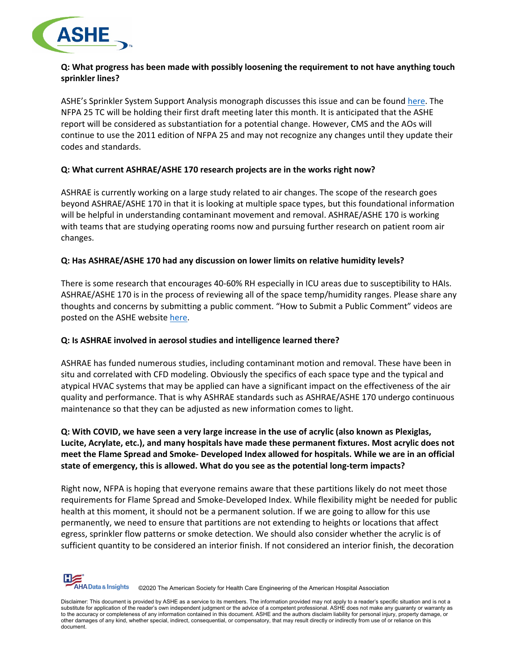

## **Q: What progress has been made with possibly loosening the requirement to not have anything touch sprinkler lines?**

ASHE's Sprinkler System Support Analysis monograph discusses this issue and can be found [here.](https://www.ashe.org/sprinklersupport.) The NFPA 25 TC will be holding their first draft meeting later this month. It is anticipated that the ASHE report will be considered as substantiation for a potential change. However, CMS and the AOs will continue to use the 2011 edition of NFPA 25 and may not recognize any changes until they update their codes and standards.

## **Q: What current ASHRAE/ASHE 170 research projects are in the works right now?**

ASHRAE is currently working on a large study related to air changes. The scope of the research goes beyond ASHRAE/ASHE 170 in that it is looking at multiple space types, but this foundational information will be helpful in understanding contaminant movement and removal. ASHRAE/ASHE 170 is working with teams that are studying operating rooms now and pursuing further research on patient room air changes.

#### **Q: Has ASHRAE/ASHE 170 had any discussion on lower limits on relative humidity levels?**

There is some research that encourages 40-60% RH especially in ICU areas due to susceptibility to HAIs. ASHRAE/ASHE 170 is in the process of reviewing all of the space temp/humidity ranges. Please share any thoughts and concerns by submitting a public comment. "How to Submit a Public Comment" videos are posted on the ASHE websit[e here.](https://www.ashe.org/commentdevvideos)

## **Q: Is ASHRAE involved in aerosol studies and intelligence learned there?**

ASHRAE has funded numerous studies, including contaminant motion and removal. These have been in situ and correlated with CFD modeling. Obviously the specifics of each space type and the typical and atypical HVAC systems that may be applied can have a significant impact on the effectiveness of the air quality and performance. That is why ASHRAE standards such as ASHRAE/ASHE 170 undergo continuous maintenance so that they can be adjusted as new information comes to light.

# **Q: With COVID, we have seen a very large increase in the use of acrylic (also known as Plexiglas, Lucite, Acrylate, etc.), and many hospitals have made these permanent fixtures. Most acrylic does not meet the Flame Spread and Smoke- Developed Index allowed for hospitals. While we are in an official state of emergency, this is allowed. What do you see as the potential long-term impacts?**

Right now, NFPA is hoping that everyone remains aware that these partitions likely do not meet those requirements for Flame Spread and Smoke-Developed Index. While flexibility might be needed for public health at this moment, it should not be a permanent solution. If we are going to allow for this use permanently, we need to ensure that partitions are not extending to heights or locations that affect egress, sprinkler flow patterns or smoke detection. We should also consider whether the acrylic is of sufficient quantity to be considered an interior finish. If not considered an interior finish, the decoration



Disclaimer: This document is provided by ASHE as a service to its members. The information provided may not apply to a reader's specific situation and is not a substitute for application of the reader's own independent judgment or the advice of a competent professional. ASHE does not make any guaranty or warranty as to the accuracy or completeness of any information contained in this document. ASHE and the authors disclaim liability for personal injury, property damage, or other damages of any kind, whether special, indirect, consequential, or compensatory, that may result directly or indirectly from use of or reliance on this document.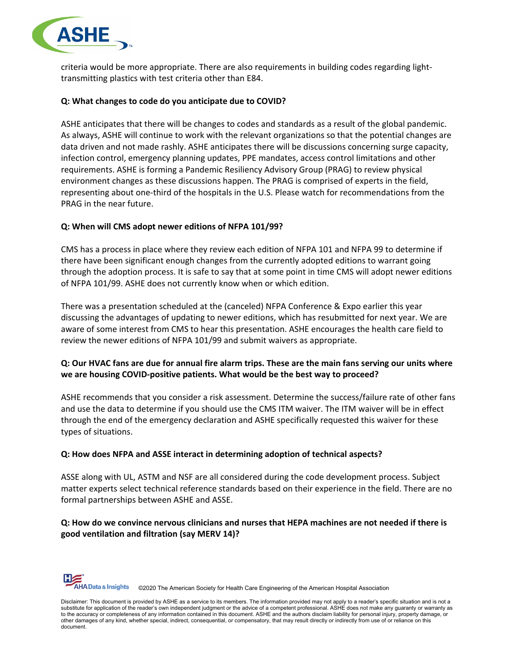

criteria would be more appropriate. There are also requirements in building codes regarding lighttransmitting plastics with test criteria other than E84.

#### **Q: What changes to code do you anticipate due to COVID?**

ASHE anticipates that there will be changes to codes and standards as a result of the global pandemic. As always, ASHE will continue to work with the relevant organizations so that the potential changes are data driven and not made rashly. ASHE anticipates there will be discussions concerning surge capacity, infection control, emergency planning updates, PPE mandates, access control limitations and other requirements. ASHE is forming a Pandemic Resiliency Advisory Group (PRAG) to review physical environment changes as these discussions happen. The PRAG is comprised of experts in the field, representing about one-third of the hospitals in the U.S. Please watch for recommendations from the PRAG in the near future.

## **Q: When will CMS adopt newer editions of NFPA 101/99?**

CMS has a process in place where they review each edition of NFPA 101 and NFPA 99 to determine if there have been significant enough changes from the currently adopted editions to warrant going through the adoption process. It is safe to say that at some point in time CMS will adopt newer editions of NFPA 101/99. ASHE does not currently know when or which edition.

There was a presentation scheduled at the (canceled) NFPA Conference & Expo earlier this year discussing the advantages of updating to newer editions, which has resubmitted for next year. We are aware of some interest from CMS to hear this presentation. ASHE encourages the health care field to review the newer editions of NFPA 101/99 and submit waivers as appropriate.

# **Q: Our HVAC fans are due for annual fire alarm trips. These are the main fans serving our units where we are housing COVID-positive patients. What would be the best way to proceed?**

ASHE recommends that you consider a risk assessment. Determine the success/failure rate of other fans and use the data to determine if you should use the CMS ITM waiver. The ITM waiver will be in effect through the end of the emergency declaration and ASHE specifically requested this waiver for these types of situations.

## **Q: How does NFPA and ASSE interact in determining adoption of technical aspects?**

ASSE along with UL, ASTM and NSF are all considered during the code development process. Subject matter experts select technical reference standards based on their experience in the field. There are no formal partnerships between ASHE and ASSE.

## **Q: How do we convince nervous clinicians and nurses that HEPA machines are not needed if there is good ventilation and filtration (say MERV 14)?**



Disclaimer: This document is provided by ASHE as a service to its members. The information provided may not apply to a reader's specific situation and is not a<br>substitute for application of the reader's own independent jud to the accuracy or completeness of any information contained in this document. ASHE and the authors disclaim liability for personal injury, property damage, or other damages of any kind, whether special, indirect, consequential, or compensatory, that may result directly or indirectly from use of or reliance on this document.